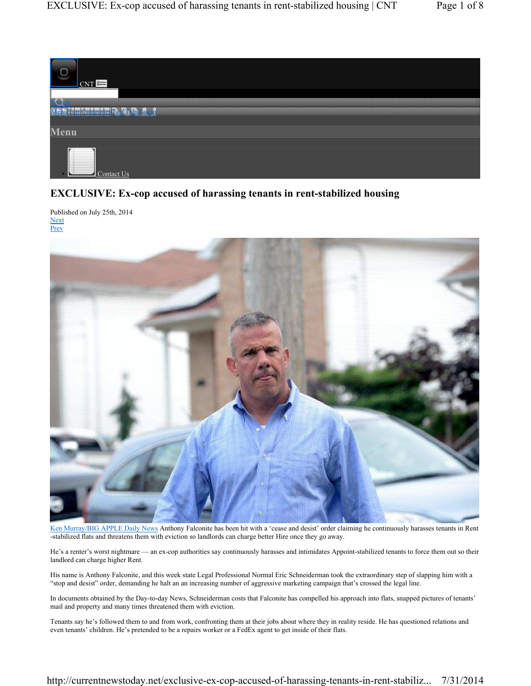

## **EXCLUSIVE: Ex-cop accused of harassing tenants in rent-stabilized housing**

Published on July 25th, 2014 Next Prev



Ken Murray/BIG APPLE Daily News Anthony Falconite has been hit with a 'cease and desist' order claiming he continuously harasses tenants in Rent -stabilized flats and threatens them with eviction so landlords can charge better Hire once they go away.

He's a renter's worst nightmare — an ex-cop authorities say continuously harasses and intimidates Appoint-stabilized tenants to force them out so their landlord can charge higher Rent.

His name is Anthony Falconite, and this week state Legal Professional Normal Eric Schneiderman took the extraordinary step of slapping him with a "stop and desist" order, demanding he halt an an increasing number of aggressive marketing campaign that's crossed the legal line.

In documents obtained by the Day-to-day News, Schneiderman costs that Falconite has compelled his approach into flats, snapped pictures of tenants' mail and property and many times threatened them with eviction.

Tenants say he's followed them to and from work, confronting them at their jobs about where they in reality reside. He has questioned relations and even tenants' children. He's pretended to be a repairs worker or a FedEx agent to get inside of their flats.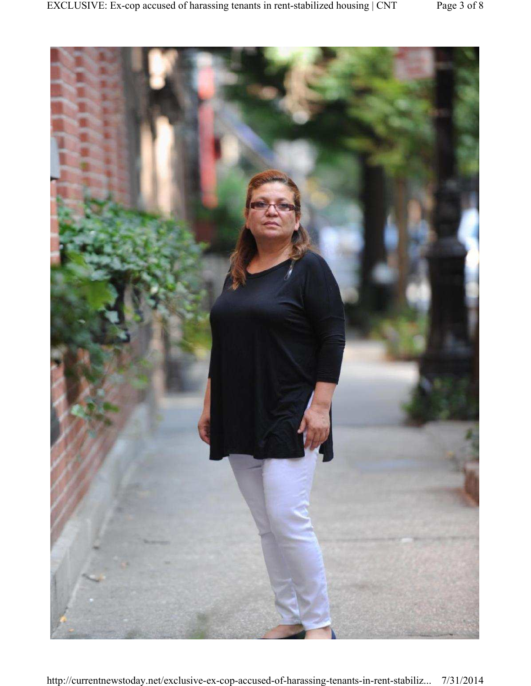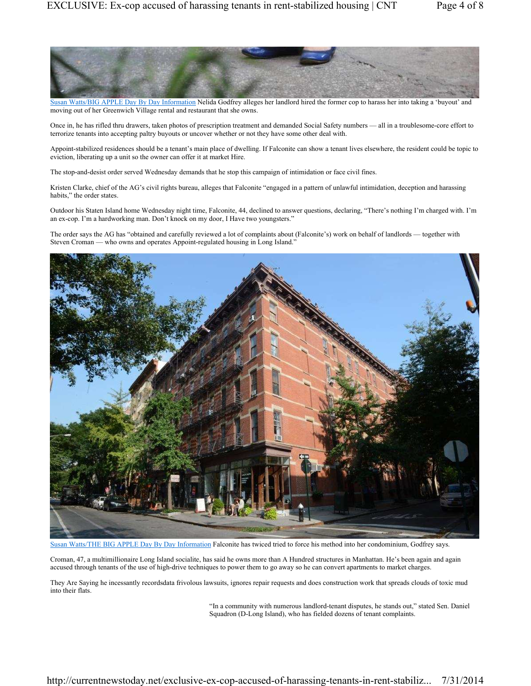

Susan Watts/BIG APPLE Day By Day Information Nelida Godfrey alleges her landlord hired the former cop to harass her into taking a 'buyout' and moving out of her Greenwich Village rental and restaurant that she owns.

Once in, he has rifled thru drawers, taken photos of prescription treatment and demanded Social Safety numbers — all in a troublesome-core effort to terrorize tenants into accepting paltry buyouts or uncover whether or not they have some other deal with.

Appoint-stabilized residences should be a tenant's main place of dwelling. If Falconite can show a tenant lives elsewhere, the resident could be topic to eviction, liberating up a unit so the owner can offer it at market Hire.

The stop-and-desist order served Wednesday demands that he stop this campaign of intimidation or face civil fines.

Kristen Clarke, chief of the AG's civil rights bureau, alleges that Falconite "engaged in a pattern of unlawful intimidation, deception and harassing habits," the order states.

Outdoor his Staten Island home Wednesday night time, Falconite, 44, declined to answer questions, declaring, "There's nothing I'm charged with. I'm an ex-cop. I'm a hardworking man. Don't knock on my door, I Have two youngsters."

The order says the AG has "obtained and carefully reviewed a lot of complaints about (Falconite's) work on behalf of landlords — together with Steven Croman — who owns and operates Appoint-regulated housing in Long Island."



Susan Watts/THE BIG APPLE Day By Day Information Falconite has twiced tried to force his method into her condominium, Godfrey says.

Croman, 47, a multimillionaire Long Island socialite, has said he owns more than A Hundred structures in Manhattan. He's been again and again accused through tenants of the use of high-drive techniques to power them to go away so he can convert apartments to market charges.

They Are Saying he incessantly recordsdata frivolous lawsuits, ignores repair requests and does construction work that spreads clouds of toxic mud into their flats.

> "In a community with numerous landlord-tenant disputes, he stands out," stated Sen. Daniel Squadron (D-Long Island), who has fielded dozens of tenant complaints.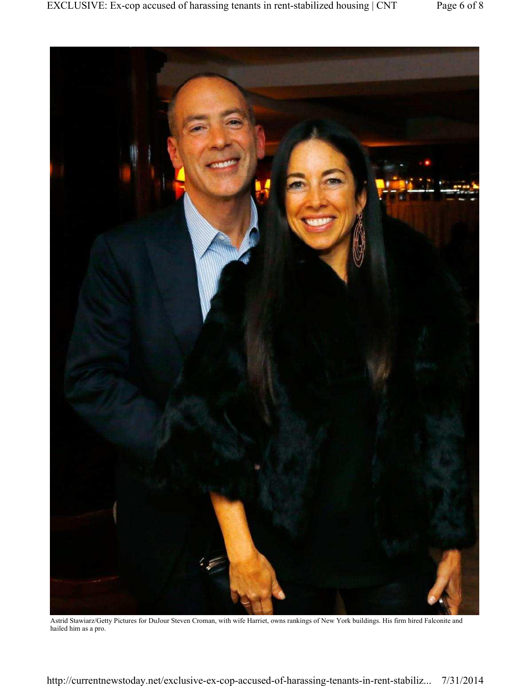

Astrid Stawiarz/Getty Pictures for DuJour Steven Croman, with wife Harriet, owns rankings of New York buildings. His firm hired Falconite and hailed him as a pro.